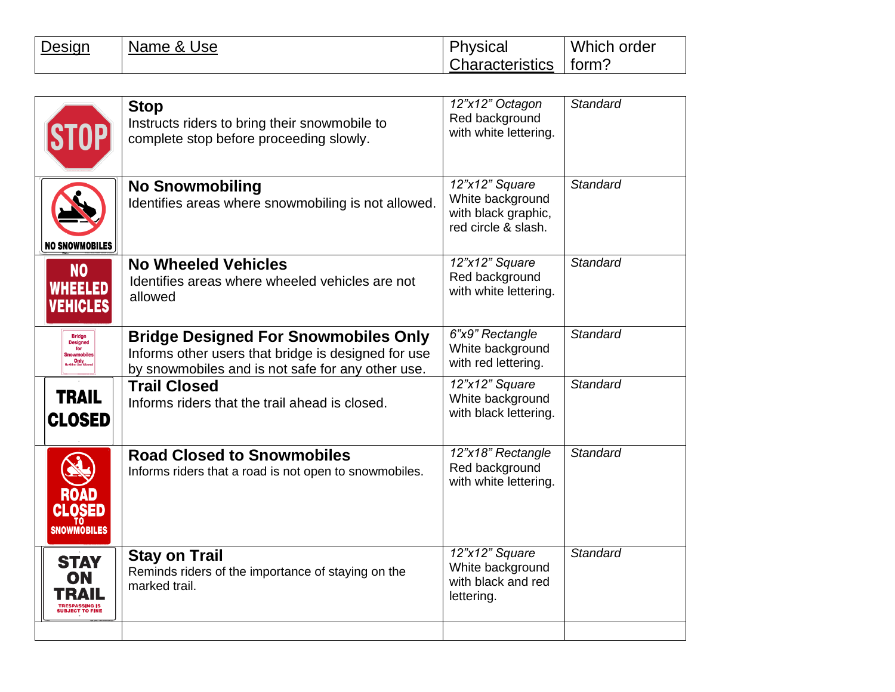| Design | 'Name & Use | Physical               | Which order |
|--------|-------------|------------------------|-------------|
|        |             | <b>Characteristics</b> | ∣ form?     |

|                                                     | <b>Stop</b><br>Instructs riders to bring their snowmobile to<br>complete stop before proceeding slowly.                                                 | 12"x12" Octagon<br>Red background<br>with white lettering.                       | <b>Standard</b> |
|-----------------------------------------------------|---------------------------------------------------------------------------------------------------------------------------------------------------------|----------------------------------------------------------------------------------|-----------------|
| <b>NO SNOWMOBILES</b>                               | <b>No Snowmobiling</b><br>Identifies areas where snowmobiling is not allowed.                                                                           | 12"x12" Square<br>White background<br>with black graphic,<br>red circle & slash. | <b>Standard</b> |
| N <sub>O</sub><br><b>WHEELED</b><br><b>VEHICLES</b> | <b>No Wheeled Vehicles</b><br>Identifies areas where wheeled vehicles are not<br>allowed                                                                | 12"x12" Square<br>Red background<br>with white lettering.                        | <b>Standard</b> |
| <b>Designed</b><br>for<br>wmobil<br>Only            | <b>Bridge Designed For Snowmobiles Only</b><br>Informs other users that bridge is designed for use<br>by snowmobiles and is not safe for any other use. | 6"x9" Rectangle<br>White background<br>with red lettering.                       | <b>Standard</b> |
| <b>TRAIL</b><br><b>CLOSED</b>                       | <b>Trail Closed</b><br>Informs riders that the trail ahead is closed.                                                                                   | 12"x12" Square<br>White background<br>with black lettering.                      | <b>Standard</b> |
| <b>ROAD</b><br><b>CLOSED</b><br><b>SNOWMOBILES</b>  | <b>Road Closed to Snowmobiles</b><br>Informs riders that a road is not open to snowmobiles.                                                             | 12"x18" Rectangle<br>Red background<br>with white lettering.                     | <b>Standard</b> |
| <b>STAY</b><br>ON<br>TRA                            | <b>Stay on Trail</b><br>Reminds riders of the importance of staying on the<br>marked trail.                                                             | 12"x12" Square<br>White background<br>with black and red<br>lettering.           | <b>Standard</b> |
|                                                     |                                                                                                                                                         |                                                                                  |                 |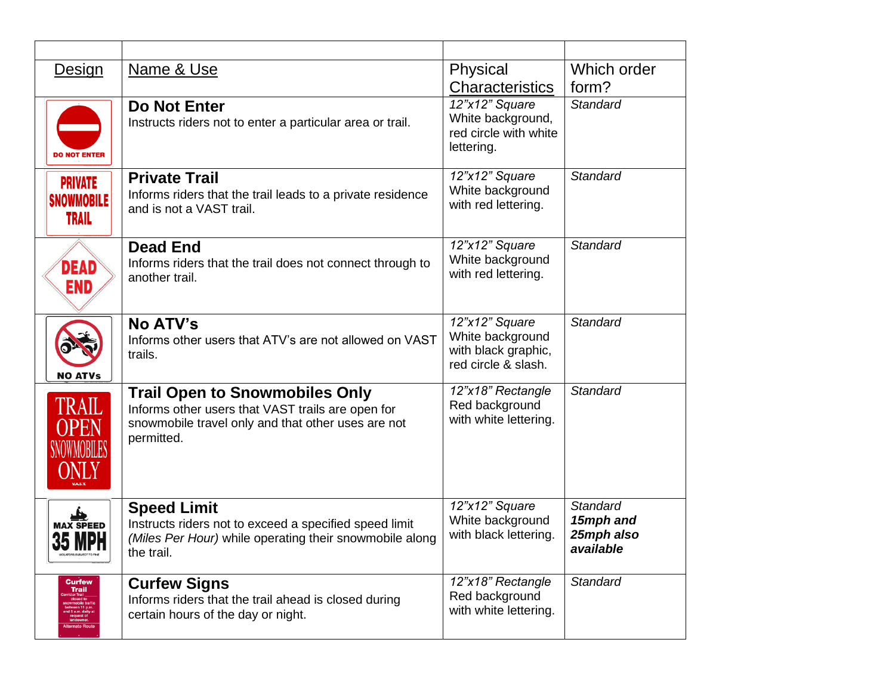| <b>Design</b>             | Name & Use                                                                   | Physical                                   | Which order     |
|---------------------------|------------------------------------------------------------------------------|--------------------------------------------|-----------------|
|                           |                                                                              | <b>Characteristics</b>                     | form?           |
|                           | <b>Do Not Enter</b>                                                          | 12"x12" Square                             | <b>Standard</b> |
|                           | Instructs riders not to enter a particular area or trail.                    | White background,<br>red circle with white |                 |
|                           |                                                                              | lettering.                                 |                 |
| <b>DO NOT ENTER</b>       |                                                                              |                                            |                 |
| <b>PRIVATE</b>            | <b>Private Trail</b>                                                         | 12"x12" Square                             | <b>Standard</b> |
| <b>SNOWMOBILE</b>         | Informs riders that the trail leads to a private residence                   | White background<br>with red lettering.    |                 |
| TRAIL                     | and is not a VAST trail.                                                     |                                            |                 |
|                           |                                                                              | 12"x12" Square                             | <b>Standard</b> |
|                           | <b>Dead End</b><br>Informs riders that the trail does not connect through to | White background                           |                 |
| DEAD                      | another trail.                                                               | with red lettering.                        |                 |
| END                       |                                                                              |                                            |                 |
|                           |                                                                              |                                            |                 |
|                           | <b>No ATV's</b><br>Informs other users that ATV's are not allowed on VAST    | 12"x12" Square<br>White background         | Standard        |
|                           | trails.                                                                      | with black graphic,                        |                 |
| <b>NO ATVs</b>            |                                                                              | red circle & slash.                        |                 |
|                           | <b>Trail Open to Snowmobiles Only</b>                                        | 12"x18" Rectangle                          | Standard        |
| <b>TRAIL</b>              | Informs other users that VAST trails are open for                            | Red background                             |                 |
| <b>OPEN</b>               | snowmobile travel only and that other uses are not                           | with white lettering.                      |                 |
| <b>SNOWMOBILES</b>        | permitted.                                                                   |                                            |                 |
|                           |                                                                              |                                            |                 |
| ONLY                      |                                                                              |                                            |                 |
|                           | <b>Speed Limit</b>                                                           | 12"x12" Square                             | <b>Standard</b> |
| MAX SPEED                 | Instructs riders not to exceed a specified speed limit                       | White background                           | 15mph and       |
| <b>35 MPH</b>             | (Miles Per Hour) while operating their snowmobile along                      | with black lettering.                      | 25mph also      |
| VIOLATORS SUBJECT TO FINE | the trail.                                                                   |                                            | available       |
| <b>Curfew</b>             | <b>Curfew Signs</b>                                                          | 12"x18" Rectangle                          | <b>Standard</b> |
| Trail                     | Informs riders that the trail ahead is closed during                         | Red background                             |                 |
|                           | certain hours of the day or night.                                           | with white lettering.                      |                 |
|                           |                                                                              |                                            |                 |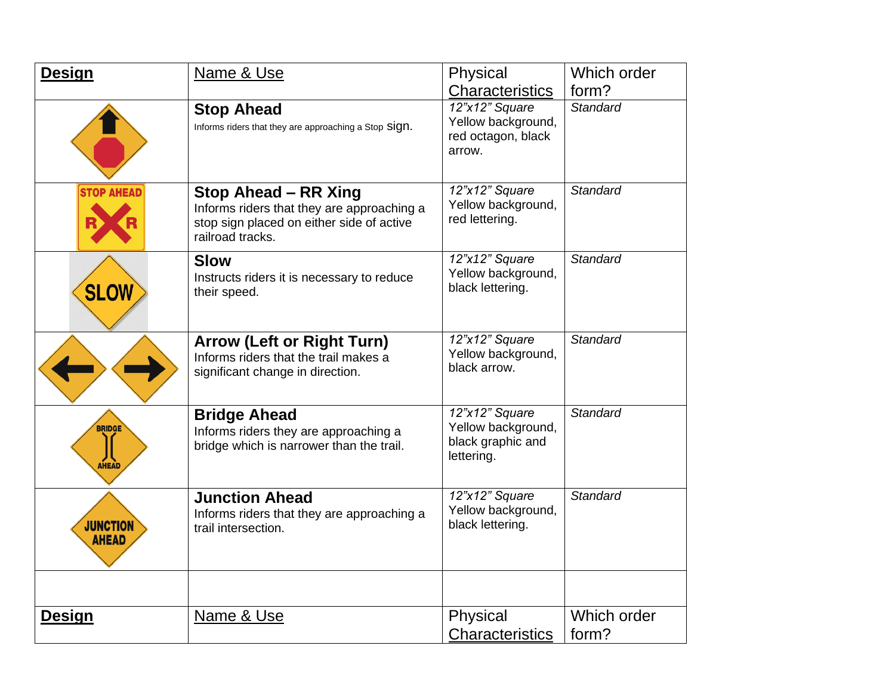| <b>Design</b>                   | Name & Use                                                                                                                          | Physical                                                                | Which order          |
|---------------------------------|-------------------------------------------------------------------------------------------------------------------------------------|-------------------------------------------------------------------------|----------------------|
|                                 |                                                                                                                                     | Characteristics                                                         | form?                |
|                                 | <b>Stop Ahead</b><br>Informs riders that they are approaching a Stop Sign.                                                          | 12"x12" Square<br>Yellow background,<br>red octagon, black<br>arrow.    | <b>Standard</b>      |
| <b>STOP AHEAD</b>               | Stop Ahead - RR Xing<br>Informs riders that they are approaching a<br>stop sign placed on either side of active<br>railroad tracks. | 12"x12" Square<br>Yellow background,<br>red lettering.                  | <b>Standard</b>      |
| <b>SLOW</b>                     | <b>Slow</b><br>Instructs riders it is necessary to reduce<br>their speed.                                                           | 12"x12" Square<br>Yellow background,<br>black lettering.                | <b>Standard</b>      |
|                                 | <b>Arrow (Left or Right Turn)</b><br>Informs riders that the trail makes a<br>significant change in direction.                      | 12"x12" Square<br>Yellow background,<br>black arrow.                    | <b>Standard</b>      |
| <b>BRIDGE</b><br><b>AHEAD</b>   | <b>Bridge Ahead</b><br>Informs riders they are approaching a<br>bridge which is narrower than the trail.                            | 12"x12" Square<br>Yellow background,<br>black graphic and<br>lettering. | <b>Standard</b>      |
| <b>JUNCTION</b><br><b>AHEAD</b> | <b>Junction Ahead</b><br>Informs riders that they are approaching a<br>trail intersection.                                          | 12"x12" Square<br>Yellow background,<br>black lettering.                | <b>Standard</b>      |
| <b>Design</b>                   | Name & Use                                                                                                                          | Physical<br><b>Characteristics</b>                                      | Which order<br>form? |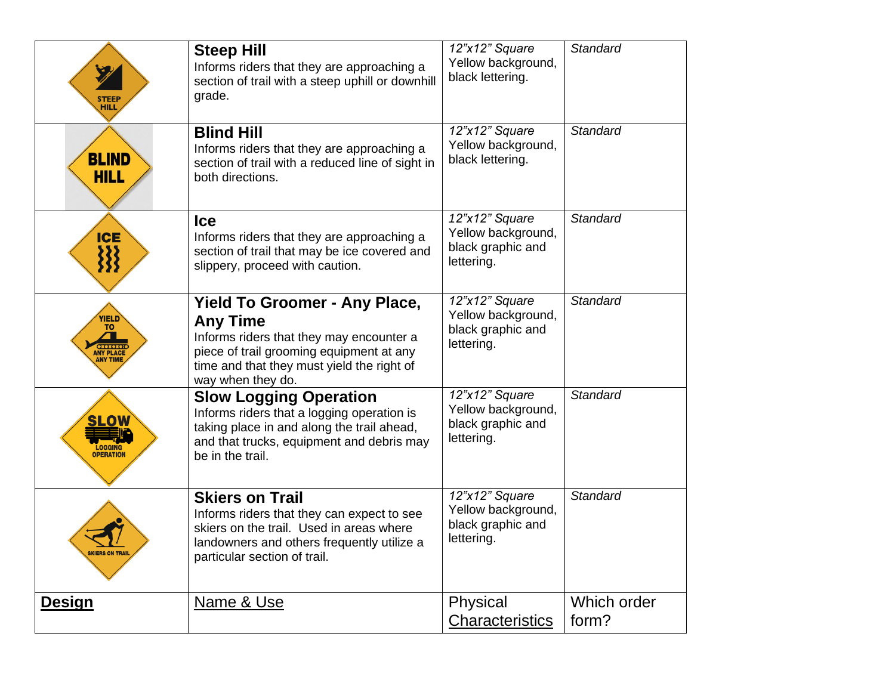| <b>STEEP</b><br><b>HILL</b>                                           | <b>Steep Hill</b><br>Informs riders that they are approaching a<br>section of trail with a steep uphill or downhill<br>grade.                                                                                      | 12"x12" Square<br>Yellow background,<br>black lettering.                | <b>Standard</b>      |
|-----------------------------------------------------------------------|--------------------------------------------------------------------------------------------------------------------------------------------------------------------------------------------------------------------|-------------------------------------------------------------------------|----------------------|
| <b>BLIND</b><br><b>HILL</b>                                           | <b>Blind Hill</b><br>Informs riders that they are approaching a<br>section of trail with a reduced line of sight in<br>both directions.                                                                            | 12"x12" Square<br>Yellow background,<br>black lettering.                | <b>Standard</b>      |
| <b>ICE</b><br>333                                                     | <b>Ice</b><br>Informs riders that they are approaching a<br>section of trail that may be ice covered and<br>slippery, proceed with caution.                                                                        | 12"x12" Square<br>Yellow background,<br>black graphic and<br>lettering. | <b>Standard</b>      |
| YIELD<br>TO.<br><b>ISIOISI</b><br><b>ANY PLACE</b><br><b>ANY TIME</b> | <b>Yield To Groomer - Any Place,</b><br><b>Any Time</b><br>Informs riders that they may encounter a<br>piece of trail grooming equipment at any<br>time and that they must yield the right of<br>way when they do. | 12"x12" Square<br>Yellow background,<br>black graphic and<br>lettering. | <b>Standard</b>      |
| <b>SLOW</b><br><b>LOGGING</b><br><b>OPERATION</b>                     | <b>Slow Logging Operation</b><br>Informs riders that a logging operation is<br>taking place in and along the trail ahead,<br>and that trucks, equipment and debris may<br>be in the trail.                         | 12"x12" Square<br>Yellow background,<br>black graphic and<br>lettering. | <b>Standard</b>      |
| <b>SKIERS ON TRAIL</b>                                                | <b>Skiers on Trail</b><br>Informs riders that they can expect to see<br>skiers on the trail. Used in areas where<br>landowners and others frequently utilize a<br>particular section of trail.                     | 12"x12" Square<br>Yellow background,<br>black graphic and<br>lettering. | <b>Standard</b>      |
| <u>Design</u>                                                         | Name & Use                                                                                                                                                                                                         | Physical<br>Characteristics                                             | Which order<br>form? |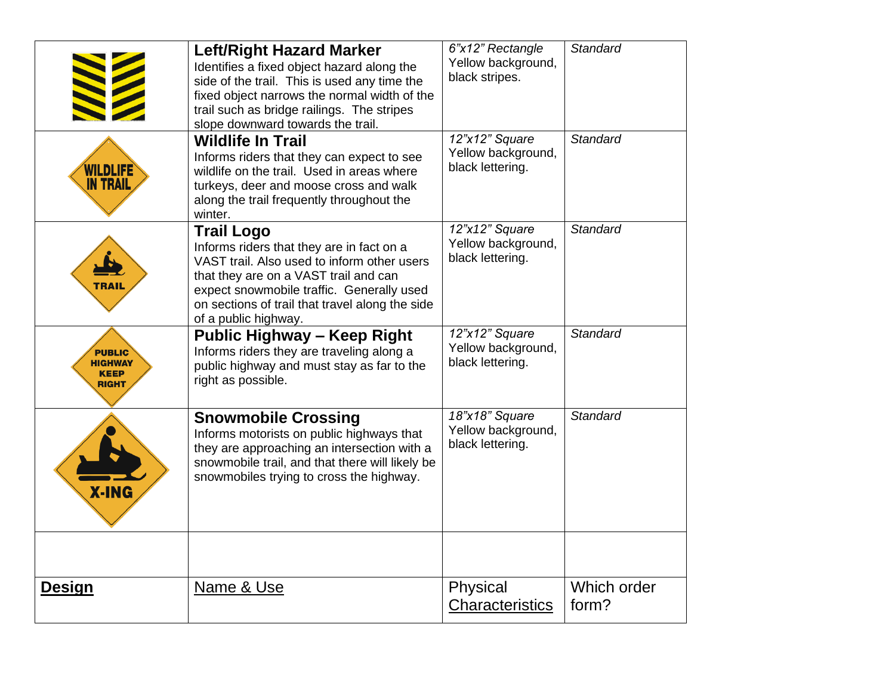|                                                         | <b>Left/Right Hazard Marker</b><br>Identifies a fixed object hazard along the<br>side of the trail. This is used any time the<br>fixed object narrows the normal width of the<br>trail such as bridge railings. The stripes<br>slope downward towards the trail.               | 6"x12" Rectangle<br>Yellow background,<br>black stripes. | <b>Standard</b>      |
|---------------------------------------------------------|--------------------------------------------------------------------------------------------------------------------------------------------------------------------------------------------------------------------------------------------------------------------------------|----------------------------------------------------------|----------------------|
| WILDLIFE<br><b>IN TRAIL</b>                             | <b>Wildlife In Trail</b><br>Informs riders that they can expect to see<br>wildlife on the trail. Used in areas where<br>turkeys, deer and moose cross and walk<br>along the trail frequently throughout the<br>winter.                                                         | 12"x12" Square<br>Yellow background,<br>black lettering. | <b>Standard</b>      |
| TRAI                                                    | <b>Trail Logo</b><br>Informs riders that they are in fact on a<br>VAST trail. Also used to inform other users<br>that they are on a VAST trail and can<br>expect snowmobile traffic. Generally used<br>on sections of trail that travel along the side<br>of a public highway. | 12"x12" Square<br>Yellow background,<br>black lettering. | <b>Standard</b>      |
| <b>PUBLIC</b><br><b>HIGHWAY</b><br><b>KEEP</b><br>RIGHT | <b>Public Highway - Keep Right</b><br>Informs riders they are traveling along a<br>public highway and must stay as far to the<br>right as possible.                                                                                                                            | 12"x12" Square<br>Yellow background,<br>black lettering. | <b>Standard</b>      |
| <b>X-ING</b>                                            | <b>Snowmobile Crossing</b><br>Informs motorists on public highways that<br>they are approaching an intersection with a<br>snowmobile trail, and that there will likely be<br>snowmobiles trying to cross the highway.                                                          | 18"x18" Square<br>Yellow background,<br>black lettering. | <b>Standard</b>      |
|                                                         |                                                                                                                                                                                                                                                                                |                                                          |                      |
| <b>Design</b>                                           | Name & Use                                                                                                                                                                                                                                                                     | Physical<br>Characteristics                              | Which order<br>form? |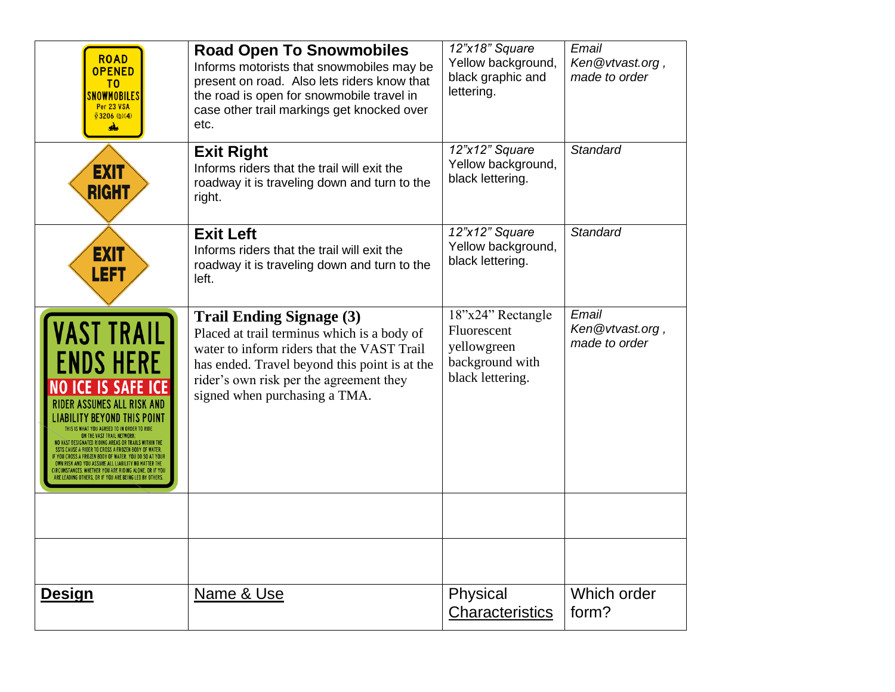| <b>ROAD</b><br><b>OPENED</b><br>T0<br><mark>NOWMOBILE</mark> S<br>Per 23 VSA<br>\$3206 (b)(4)<br>ىغ                              | <b>Road Open To Snowmobiles</b><br>Informs motorists that snowmobiles may be<br>present on road. Also lets riders know that<br>the road is open for snowmobile travel in<br>case other trail markings get knocked over<br>etc.                            | 12"x18" Square<br>Yellow background,<br>black graphic and<br>lettering.                | Email<br>Ken@vtvast.org,<br>made to order |
|----------------------------------------------------------------------------------------------------------------------------------|-----------------------------------------------------------------------------------------------------------------------------------------------------------------------------------------------------------------------------------------------------------|----------------------------------------------------------------------------------------|-------------------------------------------|
| <b>EXIT</b><br>RIGHT                                                                                                             | <b>Exit Right</b><br>Informs riders that the trail will exit the<br>roadway it is traveling down and turn to the<br>right.                                                                                                                                | 12"x12" Square<br>Yellow background,<br>black lettering.                               | <b>Standard</b>                           |
| <b>EXIT</b><br><b>LEFT</b>                                                                                                       | <b>Exit Left</b><br>Informs riders that the trail will exit the<br>roadway it is traveling down and turn to the<br>left.                                                                                                                                  | 12"x12" Square<br>Yellow background,<br>black lettering.                               | <b>Standard</b>                           |
| <b>VAST TRAIL</b><br><b>ENDS HERE</b><br><b>NO ICE IS SAFE ICE</b><br><b>RIDER ASSUMES ALL RISK AND</b><br>ITY BEYOND THIS POINT | <b>Trail Ending Signage (3)</b><br>Placed at trail terminus which is a body of<br>water to inform riders that the VAST Trail<br>has ended. Travel beyond this point is at the<br>rider's own risk per the agreement they<br>signed when purchasing a TMA. | 18"x24" Rectangle<br>Fluorescent<br>yellowgreen<br>background with<br>black lettering. | Email<br>Ken@vtvast.org,<br>made to order |
|                                                                                                                                  |                                                                                                                                                                                                                                                           |                                                                                        |                                           |
|                                                                                                                                  |                                                                                                                                                                                                                                                           |                                                                                        |                                           |
| <b>Design</b>                                                                                                                    | Name & Use                                                                                                                                                                                                                                                | Physical<br>Characteristics                                                            | Which order<br>form?                      |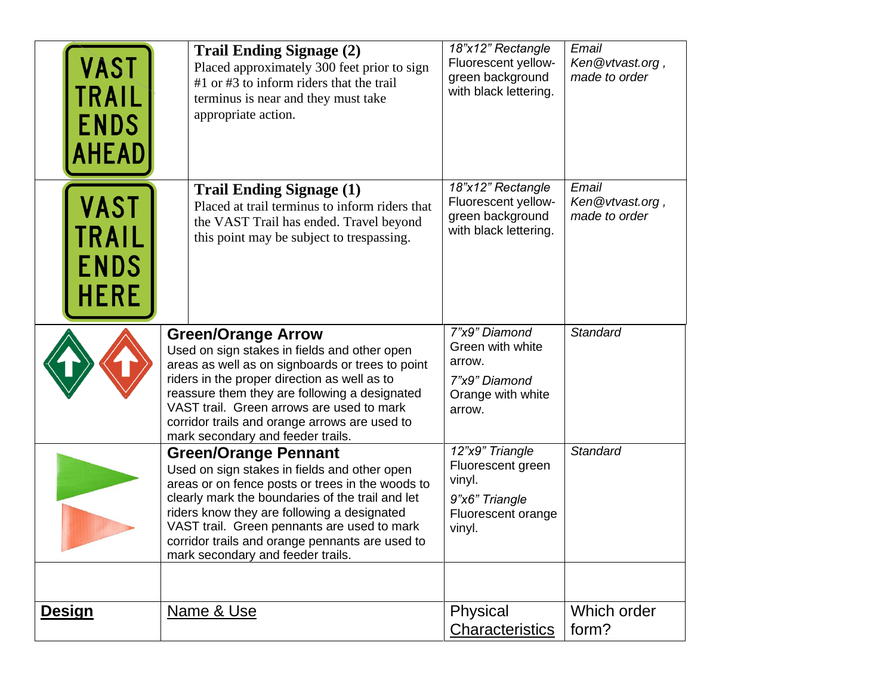| VAST<br>TRAIL<br><b>ENDS</b><br><b>AHEAD</b> | <b>Trail Ending Signage (2)</b><br>Placed approximately 300 feet prior to sign<br>$#1$ or $#3$ to inform riders that the trail<br>terminus is near and they must take<br>appropriate action.                                                                                                                                                                              | 18"x12" Rectangle<br>Fluorescent yellow-<br>green background<br>with black lettering.            | Email<br>Ken@vtvast.org,<br>made to order |
|----------------------------------------------|---------------------------------------------------------------------------------------------------------------------------------------------------------------------------------------------------------------------------------------------------------------------------------------------------------------------------------------------------------------------------|--------------------------------------------------------------------------------------------------|-------------------------------------------|
| VAST<br>TRAIL<br><b>ENDS</b><br><b>HERE</b>  | <b>Trail Ending Signage (1)</b><br>Placed at trail terminus to inform riders that<br>the VAST Trail has ended. Travel beyond<br>this point may be subject to trespassing.                                                                                                                                                                                                 | 18"x12" Rectangle<br>Fluorescent yellow-<br>green background<br>with black lettering.            | Email<br>Ken@vtvast.org,<br>made to order |
|                                              | <b>Green/Orange Arrow</b><br>Used on sign stakes in fields and other open<br>areas as well as on signboards or trees to point<br>riders in the proper direction as well as to<br>reassure them they are following a designated<br>VAST trail. Green arrows are used to mark<br>corridor trails and orange arrows are used to<br>mark secondary and feeder trails.         | 7"x9" Diamond<br>Green with white<br>arrow.<br>7"x9" Diamond<br>Orange with white<br>arrow.      | <b>Standard</b>                           |
|                                              | <b>Green/Orange Pennant</b><br>Used on sign stakes in fields and other open<br>areas or on fence posts or trees in the woods to<br>clearly mark the boundaries of the trail and let<br>riders know they are following a designated<br>VAST trail. Green pennants are used to mark<br>corridor trails and orange pennants are used to<br>mark secondary and feeder trails. | 12"x9" Triangle<br>Fluorescent green<br>vinyl.<br>9"x6" Triangle<br>Fluorescent orange<br>vinyl. | <b>Standard</b>                           |
|                                              |                                                                                                                                                                                                                                                                                                                                                                           |                                                                                                  |                                           |
| <b>Design</b>                                | Name & Use                                                                                                                                                                                                                                                                                                                                                                | Physical<br>Characteristics                                                                      | Which order<br>form?                      |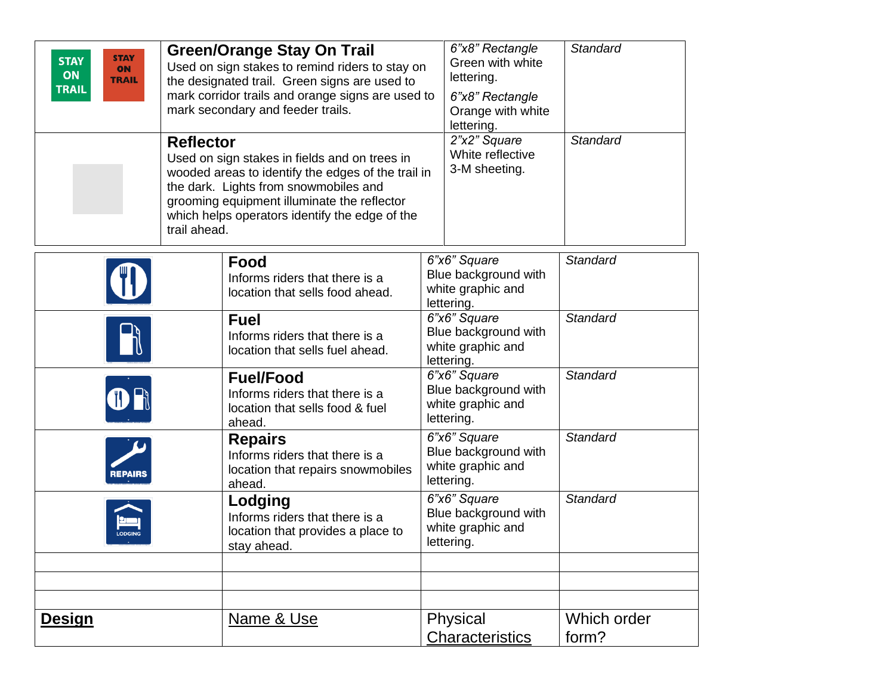| <b>STAY</b><br><b>STAY</b><br><b>ON</b><br>ON<br><b>TRAIL</b><br><b>TRAIL</b> | <b>Green/Orange Stay On Trail</b><br>Used on sign stakes to remind riders to stay on<br>the designated trail. Green signs are used to<br>mark corridor trails and orange signs are used to<br>mark secondary and feeder trails.<br><b>Reflector</b><br>Used on sign stakes in fields and on trees in<br>wooded areas to identify the edges of the trail in<br>the dark. Lights from snowmobiles and<br>grooming equipment illuminate the reflector<br>which helps operators identify the edge of the<br>trail ahead. | 6"x8" Rectangle<br>Green with white<br>lettering.<br>6"x8" Rectangle<br>Orange with white<br>lettering.<br>2"x2" Square<br>White reflective<br>3-M sheeting. | Standard<br>Standard |
|-------------------------------------------------------------------------------|----------------------------------------------------------------------------------------------------------------------------------------------------------------------------------------------------------------------------------------------------------------------------------------------------------------------------------------------------------------------------------------------------------------------------------------------------------------------------------------------------------------------|--------------------------------------------------------------------------------------------------------------------------------------------------------------|----------------------|
|                                                                               | Food<br>Informs riders that there is a<br>location that sells food ahead.                                                                                                                                                                                                                                                                                                                                                                                                                                            | 6"x6" Square<br>Blue background with<br>white graphic and<br>lettering.                                                                                      | Standard             |
|                                                                               | <b>Fuel</b><br>Informs riders that there is a<br>location that sells fuel ahead.                                                                                                                                                                                                                                                                                                                                                                                                                                     | 6"x6" Square<br>Blue background with<br>white graphic and<br>lettering.                                                                                      | Standard             |
|                                                                               | <b>Fuel/Food</b><br>Informs riders that there is a<br>location that sells food & fuel<br>ahead.                                                                                                                                                                                                                                                                                                                                                                                                                      | 6"x6" Square<br>Blue background with<br>white graphic and<br>lettering.                                                                                      | <b>Standard</b>      |
| REPAIRS                                                                       | <b>Repairs</b><br>Informs riders that there is a<br>location that repairs snowmobiles<br>ahead.                                                                                                                                                                                                                                                                                                                                                                                                                      | 6"x6" Square<br>Blue background with<br>white graphic and<br>lettering.                                                                                      | Standard             |
| <b>ODGING</b>                                                                 | Lodging<br>Informs riders that there is a<br>location that provides a place to<br>stay ahead.                                                                                                                                                                                                                                                                                                                                                                                                                        | 6"x6" Square<br>Blue background with<br>white graphic and<br>lettering.                                                                                      | Standard             |
|                                                                               |                                                                                                                                                                                                                                                                                                                                                                                                                                                                                                                      |                                                                                                                                                              |                      |
| <b>Design</b>                                                                 | Name & Use                                                                                                                                                                                                                                                                                                                                                                                                                                                                                                           | Physical<br><b>Characteristics</b>                                                                                                                           | Which order<br>form? |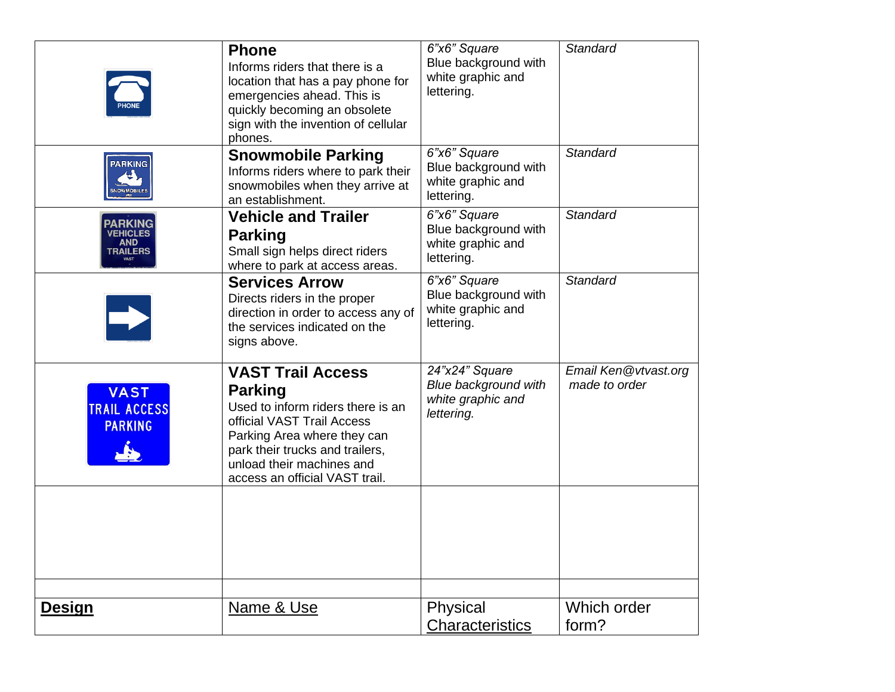|                                                      | <b>Phone</b><br>Informs riders that there is a<br>location that has a pay phone for<br>emergencies ahead. This is<br>quickly becoming an obsolete<br>sign with the invention of cellular<br>phones.                                            | 6"x6" Square<br>Blue background with<br>white graphic and<br>lettering.   | Standard                              |
|------------------------------------------------------|------------------------------------------------------------------------------------------------------------------------------------------------------------------------------------------------------------------------------------------------|---------------------------------------------------------------------------|---------------------------------------|
| <b>PARKING</b><br><b>SNOWMOBILES</b>                 | <b>Snowmobile Parking</b><br>Informs riders where to park their<br>snowmobiles when they arrive at<br>an establishment.                                                                                                                        | 6"x6" Square<br>Blue background with<br>white graphic and<br>lettering.   | <b>Standard</b>                       |
| PARKING<br><b>VEHICLES</b><br><b>AND</b><br>TRAILERS | <b>Vehicle and Trailer</b><br><b>Parking</b><br>Small sign helps direct riders<br>where to park at access areas.                                                                                                                               | 6"x6" Square<br>Blue background with<br>white graphic and<br>lettering.   | Standard                              |
|                                                      | <b>Services Arrow</b><br>Directs riders in the proper<br>direction in order to access any of<br>the services indicated on the<br>signs above.                                                                                                  | 6"x6" Square<br>Blue background with<br>white graphic and<br>lettering.   | <b>Standard</b>                       |
| <b>VAST</b><br><b>TRAIL ACCESS</b><br><b>PARKING</b> | <b>VAST Trail Access</b><br><b>Parking</b><br>Used to inform riders there is an<br>official VAST Trail Access<br>Parking Area where they can<br>park their trucks and trailers,<br>unload their machines and<br>access an official VAST trail. | 24"x24" Square<br>Blue background with<br>white graphic and<br>lettering. | Email Ken@vtvast.org<br>made to order |
|                                                      |                                                                                                                                                                                                                                                |                                                                           |                                       |
| <b>Design</b>                                        | Name & Use                                                                                                                                                                                                                                     | Physical<br>Characteristics                                               | Which order<br>form?                  |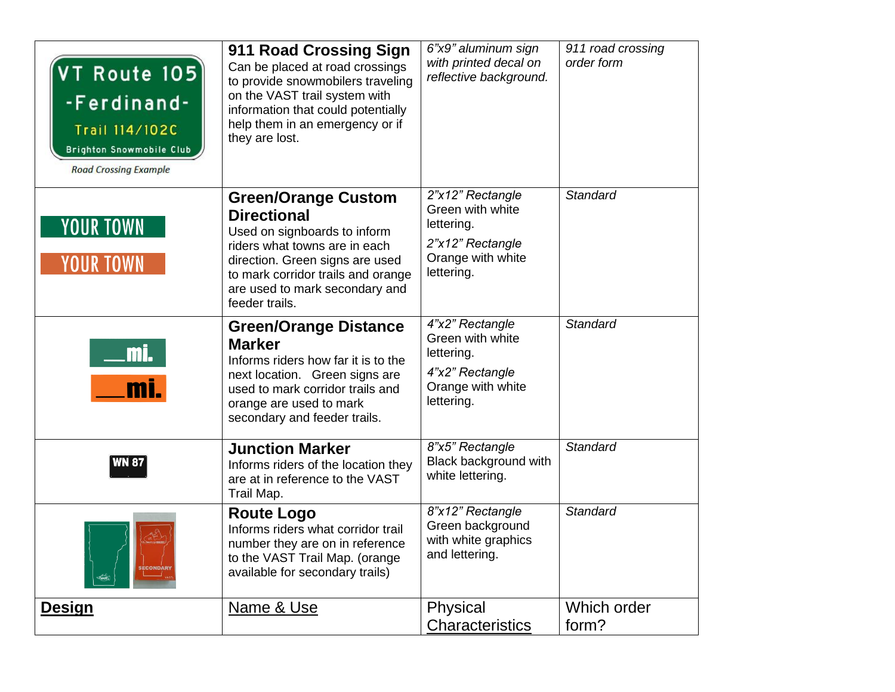| VT Route 105)<br>-Ferdinand-<br>Trail 114/102C<br><b>Brighton Snowmobile Club</b><br><b>Road Crossing Example</b> | 911 Road Crossing Sign<br>Can be placed at road crossings<br>to provide snowmobilers traveling<br>on the VAST trail system with<br>information that could potentially<br>help them in an emergency or if<br>they are lost.                     | 6"x9" aluminum sign<br>with printed decal on<br>reflective background.                                    | 911 road crossing<br>order form |
|-------------------------------------------------------------------------------------------------------------------|------------------------------------------------------------------------------------------------------------------------------------------------------------------------------------------------------------------------------------------------|-----------------------------------------------------------------------------------------------------------|---------------------------------|
| <b>YOUR TOWN</b><br><b>YOUR TOWN</b>                                                                              | <b>Green/Orange Custom</b><br><b>Directional</b><br>Used on signboards to inform<br>riders what towns are in each<br>direction. Green signs are used<br>to mark corridor trails and orange<br>are used to mark secondary and<br>feeder trails. | 2"x12" Rectangle<br>Green with white<br>lettering.<br>2"x12" Rectangle<br>Orange with white<br>lettering. | <b>Standard</b>                 |
| <u>mi.</u><br>mi.                                                                                                 | <b>Green/Orange Distance</b><br><b>Marker</b><br>Informs riders how far it is to the<br>next location. Green signs are<br>used to mark corridor trails and<br>orange are used to mark<br>secondary and feeder trails.                          | 4"x2" Rectangle<br>Green with white<br>lettering.<br>4"x2" Rectangle<br>Orange with white<br>lettering.   | <b>Standard</b>                 |
| <b>WN 87</b>                                                                                                      | <b>Junction Marker</b><br>Informs riders of the location they<br>are at in reference to the VAST<br>Trail Map.                                                                                                                                 | 8"x5" Rectangle<br>Black background with<br>white lettering.                                              | <b>Standard</b>                 |
| $\frac{1}{2}$ <i>VAST</i>                                                                                         | <b>Route Logo</b><br>Informs riders what corridor trail<br>number they are on in reference<br>to the VAST Trail Map. (orange<br>available for secondary trails)                                                                                | 8"x12" Rectangle<br>Green background<br>with white graphics<br>and lettering.                             | <b>Standard</b>                 |
| <u>Design</u>                                                                                                     | <u>Name &amp; Use</u>                                                                                                                                                                                                                          | Physical<br><b>Characteristics</b>                                                                        | Which order<br>form?            |